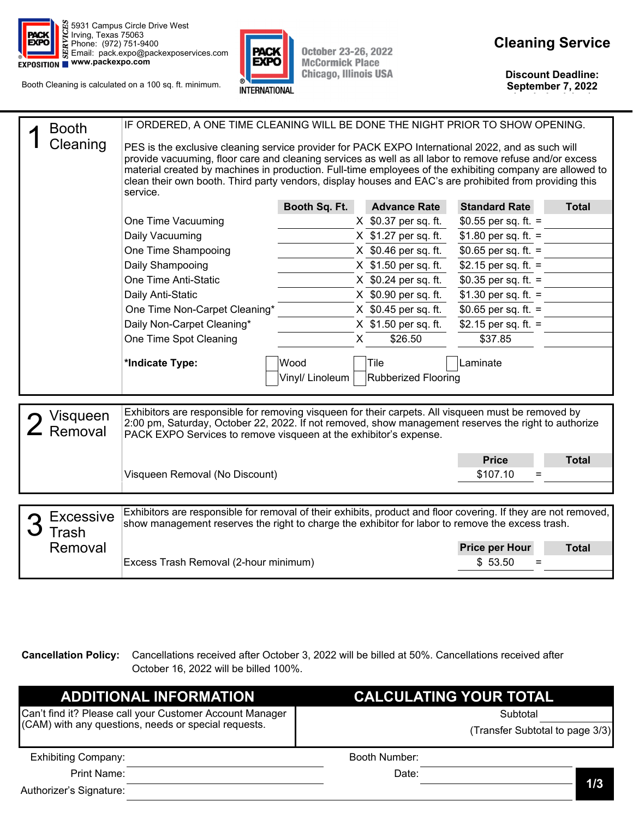

5931 Campus Circle Drive West Irving, Texas 75063 Phone: (972) 751-9400 Email: pack.expo@packexposervices.com **www.packexpo.com** 

Booth Cleaning is calculated on a 100 sq. ft. minimum.



**October 23-26, 2022 McCormick Place Chicago, Illinois USA** 

**Cleaning Service** 

**Discount Deadline: September 7, 2022** 

| <b>Booth</b>                                                                                                                                                                                                                                                                                            | IF ORDERED, A ONE TIME CLEANING WILL BE DONE THE NIGHT PRIOR TO SHOW OPENING.                                                                                                                                                                                                                                                                                                                                                                   |                 |              |                            |                       |              |
|---------------------------------------------------------------------------------------------------------------------------------------------------------------------------------------------------------------------------------------------------------------------------------------------------------|-------------------------------------------------------------------------------------------------------------------------------------------------------------------------------------------------------------------------------------------------------------------------------------------------------------------------------------------------------------------------------------------------------------------------------------------------|-----------------|--------------|----------------------------|-----------------------|--------------|
| Cleaning                                                                                                                                                                                                                                                                                                | PES is the exclusive cleaning service provider for PACK EXPO International 2022, and as such will<br>provide vacuuming, floor care and cleaning services as well as all labor to remove refuse and/or excess<br>material created by machines in production. Full-time employees of the exhibiting company are allowed to<br>clean their own booth. Third party vendors, display houses and EAC's are prohibited from providing this<br>service. |                 |              |                            |                       |              |
|                                                                                                                                                                                                                                                                                                         |                                                                                                                                                                                                                                                                                                                                                                                                                                                 | Booth Sq. Ft.   |              | <b>Advance Rate</b>        | <b>Standard Rate</b>  | <b>Total</b> |
|                                                                                                                                                                                                                                                                                                         | One Time Vacuuming                                                                                                                                                                                                                                                                                                                                                                                                                              |                 |              | X \$0.37 per sq. ft.       | \$0.55 per sq. ft. =  |              |
|                                                                                                                                                                                                                                                                                                         | Daily Vacuuming                                                                                                                                                                                                                                                                                                                                                                                                                                 |                 |              | X \$1.27 per sq. ft.       | $$1.80$ per sq. ft. = |              |
|                                                                                                                                                                                                                                                                                                         | One Time Shampooing                                                                                                                                                                                                                                                                                                                                                                                                                             |                 |              | $X$ \$0.46 per sq. ft.     | $$0.65$ per sq. ft. = |              |
|                                                                                                                                                                                                                                                                                                         | Daily Shampooing                                                                                                                                                                                                                                                                                                                                                                                                                                |                 |              | X \$1.50 per sq. ft.       | \$2.15 per sq. ft. =  |              |
|                                                                                                                                                                                                                                                                                                         | One Time Anti-Static                                                                                                                                                                                                                                                                                                                                                                                                                            |                 |              | $X$ \$0.24 per sq. ft.     | \$0.35 per sq. ft. =  |              |
|                                                                                                                                                                                                                                                                                                         | Daily Anti-Static                                                                                                                                                                                                                                                                                                                                                                                                                               |                 |              | X \$0.90 per sq. ft.       | $$1.30$ per sq. ft. = |              |
|                                                                                                                                                                                                                                                                                                         | One Time Non-Carpet Cleaning*                                                                                                                                                                                                                                                                                                                                                                                                                   |                 |              | X \$0.45 per sq. ft.       | $$0.65$ per sq. ft. = |              |
|                                                                                                                                                                                                                                                                                                         | Daily Non-Carpet Cleaning*                                                                                                                                                                                                                                                                                                                                                                                                                      |                 |              | X \$1.50 per sq. ft.       | \$2.15 per sq. ft. =  |              |
|                                                                                                                                                                                                                                                                                                         | One Time Spot Cleaning                                                                                                                                                                                                                                                                                                                                                                                                                          |                 | $\mathsf{X}$ | \$26.50                    | \$37.85               |              |
|                                                                                                                                                                                                                                                                                                         | *Indicate Type:                                                                                                                                                                                                                                                                                                                                                                                                                                 | Wood            |              | Tile                       | Laminate              |              |
|                                                                                                                                                                                                                                                                                                         |                                                                                                                                                                                                                                                                                                                                                                                                                                                 | Vinyl/ Linoleum |              | <b>Rubberized Flooring</b> |                       |              |
|                                                                                                                                                                                                                                                                                                         |                                                                                                                                                                                                                                                                                                                                                                                                                                                 |                 |              |                            |                       |              |
| Exhibitors are responsible for removing visqueen for their carpets. All visqueen must be removed by<br>Visqueen<br>2:00 pm, Saturday, October 22, 2022. If not removed, show management reserves the right to authorize<br>Removal<br>PACK EXPO Services to remove visqueen at the exhibitor's expense. |                                                                                                                                                                                                                                                                                                                                                                                                                                                 |                 |              |                            |                       |              |
|                                                                                                                                                                                                                                                                                                         |                                                                                                                                                                                                                                                                                                                                                                                                                                                 |                 |              |                            | <b>Price</b>          | <b>Total</b> |
|                                                                                                                                                                                                                                                                                                         | Visqueen Removal (No Discount)                                                                                                                                                                                                                                                                                                                                                                                                                  |                 |              |                            | \$107.10<br>Ξ         |              |
|                                                                                                                                                                                                                                                                                                         |                                                                                                                                                                                                                                                                                                                                                                                                                                                 |                 |              |                            |                       |              |
|                                                                                                                                                                                                                                                                                                         |                                                                                                                                                                                                                                                                                                                                                                                                                                                 |                 |              |                            |                       |              |
| <b>Excessive</b><br>Trash                                                                                                                                                                                                                                                                               | Exhibitors are responsible for removal of their exhibits, product and floor covering. If they are not removed,<br>show management reserves the right to charge the exhibitor for labor to remove the excess trash.                                                                                                                                                                                                                              |                 |              |                            |                       |              |
| Removal                                                                                                                                                                                                                                                                                                 |                                                                                                                                                                                                                                                                                                                                                                                                                                                 |                 |              |                            | <b>Price per Hour</b> | <b>Total</b> |
|                                                                                                                                                                                                                                                                                                         | Excess Trash Removal (2-hour minimum)                                                                                                                                                                                                                                                                                                                                                                                                           |                 |              |                            | \$53.50<br>$=$        |              |
|                                                                                                                                                                                                                                                                                                         |                                                                                                                                                                                                                                                                                                                                                                                                                                                 |                 |              |                            |                       |              |

**Cancellation Policy:** Cancellations received after October 3, 2022 will be billed at 50%. Cancellations received after October 16, 2022 will be billed 100%.

| <b>ADDITIONAL INFORMATION</b>                            | <b>CALCULATING YOUR TOTAL</b> |                                 |  |
|----------------------------------------------------------|-------------------------------|---------------------------------|--|
| Can't find it? Please call your Customer Account Manager | Subtotal                      |                                 |  |
| (CAM) with any questions, needs or special requests.     |                               | (Transfer Subtotal to page 3/3) |  |
| <b>Exhibiting Company:</b>                               | Booth Number:                 |                                 |  |
| Print Name:                                              | Date:                         |                                 |  |
| Authorizer's Signature:                                  |                               | 1/3                             |  |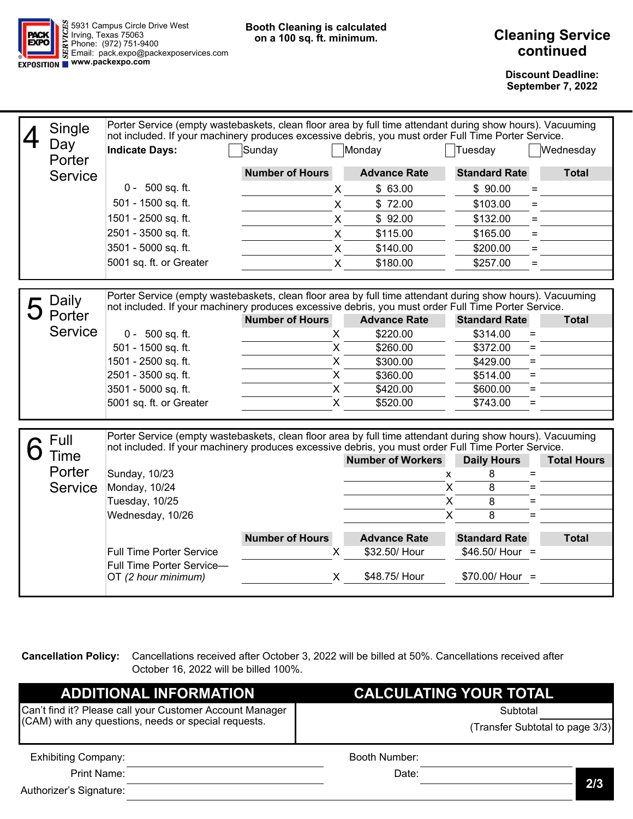

5931 Campus Circle Drive West Irving, Texas 75063 Phone: (972) 751-9400 Email: pack.expo@packexposervices.com **www.packexpo.com** 

**Booth Cleaning is calculated on a 100 sq. ft. minimum.** 

**Cleaning Service continued** 

**Discount Deadline: September 7, 2022** 

| Single         | Porter Service (empty wastebaskets, clean floor area by full time attendant during show hours). Vacuuming<br>not included. If your machinery produces excessive debris, you must order Full Time Porter Service. |                        |                          |                      |                    |
|----------------|------------------------------------------------------------------------------------------------------------------------------------------------------------------------------------------------------------------|------------------------|--------------------------|----------------------|--------------------|
| Day            | <b>Indicate Days:</b>                                                                                                                                                                                            | Sunday                 | Monday                   | Tuesday              | Wednesday          |
| Porter         |                                                                                                                                                                                                                  |                        |                          |                      |                    |
| Service        |                                                                                                                                                                                                                  | <b>Number of Hours</b> | <b>Advance Rate</b>      | <b>Standard Rate</b> | <b>Total</b>       |
|                | 0 - 500 sq. ft.                                                                                                                                                                                                  | X                      | \$63.00                  | \$90.00<br>$=$       |                    |
|                | 501 - 1500 sq. ft.                                                                                                                                                                                               | X                      | \$72.00                  | \$103.00<br>$=$      |                    |
|                | 1501 - 2500 sq. ft.                                                                                                                                                                                              | X                      | \$92.00                  | \$132.00             |                    |
|                | 2501 - 3500 sq. ft.                                                                                                                                                                                              | X                      | \$115.00                 | \$165.00             |                    |
|                | 3501 - 5000 sq. ft.                                                                                                                                                                                              | X                      | \$140.00                 | \$200.00             |                    |
|                | 5001 sq. ft. or Greater                                                                                                                                                                                          | X                      | \$180.00                 | \$257.00             |                    |
|                |                                                                                                                                                                                                                  |                        |                          |                      |                    |
| Daily          | Porter Service (empty wastebaskets, clean floor area by full time attendant during show hours). Vacuuming                                                                                                        |                        |                          |                      |                    |
| Porter         | not included. If your machinery produces excessive debris, you must order Full Time Porter Service.                                                                                                              |                        |                          |                      |                    |
| <b>Service</b> |                                                                                                                                                                                                                  | <b>Number of Hours</b> | <b>Advance Rate</b>      | <b>Standard Rate</b> | <b>Total</b>       |
|                | 0 - 500 sq. ft.                                                                                                                                                                                                  | X                      | \$220.00                 | \$314.00<br>$=$      |                    |
|                | 501 - 1500 sq. ft.                                                                                                                                                                                               | х                      | \$260.00                 | \$372.00<br>$=$      |                    |
|                | 1501 - 2500 sq. ft.<br>2501 - 3500 sq. ft.                                                                                                                                                                       | X                      | \$300.00                 | \$429.00<br>Ξ        |                    |
|                | 3501 - 5000 sq. ft.                                                                                                                                                                                              | X<br>X                 | \$360.00<br>\$420.00     | \$514.00<br>\$600.00 |                    |
|                | 5001 sq. ft. or Greater                                                                                                                                                                                          | X                      | \$520.00                 | \$743.00<br>$=$      |                    |
|                |                                                                                                                                                                                                                  |                        |                          |                      |                    |
|                | Porter Service (empty wastebaskets, clean floor area by full time attendant during show hours). Vacuuming                                                                                                        |                        |                          |                      |                    |
| Full           | not included. If your machinery produces excessive debris, you must order Full Time Porter Service.                                                                                                              |                        |                          |                      |                    |
| <b>Time</b>    |                                                                                                                                                                                                                  |                        | <b>Number of Workers</b> | <b>Daily Hours</b>   | <b>Total Hours</b> |
| Porter         | Sunday, 10/23                                                                                                                                                                                                    |                        | X                        | 8<br>$=$             |                    |
| <b>Service</b> | Monday, 10/24                                                                                                                                                                                                    |                        | x                        | 8                    |                    |
|                | Tuesday, 10/25                                                                                                                                                                                                   |                        | X                        | 8                    |                    |
|                | Wednesday, 10/26                                                                                                                                                                                                 |                        | X                        | 8                    |                    |
|                |                                                                                                                                                                                                                  | <b>Number of Hours</b> | <b>Advance Rate</b>      | <b>Standard Rate</b> | <b>Total</b>       |
|                | <b>Full Time Porter Service</b>                                                                                                                                                                                  | X                      | \$32.50/ Hour            | $$46.50/$ Hour =     |                    |
|                | Full Time Porter Service-                                                                                                                                                                                        |                        |                          |                      |                    |
|                | OT (2 hour minimum)                                                                                                                                                                                              | X.                     | \$48.75/ Hour            | \$70.00/ Hour =      |                    |
|                |                                                                                                                                                                                                                  |                        |                          |                      |                    |

**Cancellation Policy:** Cancellations received after October 3, 2022 will be billed at 50%. Cancellations received after October 16, 2022 will be billed 100%.

| <b>ADDITIONAL INFORMATION</b>                            | <b>CALCULATING YOUR TOTAL</b> |                                 |  |
|----------------------------------------------------------|-------------------------------|---------------------------------|--|
| Can't find it? Please call your Customer Account Manager | Subtotal                      |                                 |  |
| (CAM) with any questions, needs or special requests.     |                               | (Transfer Subtotal to page 3/3) |  |
| <b>Exhibiting Company:</b>                               | Booth Number:                 |                                 |  |
| Print Name:                                              | Date:                         |                                 |  |
| Authorizer's Signature:                                  |                               | 2/3                             |  |